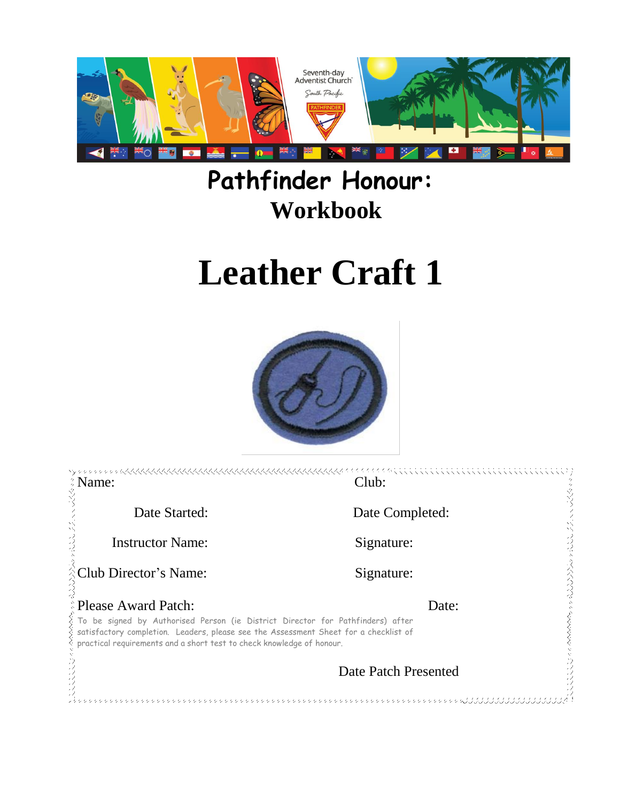

# **Pathfinder Honour: Workbook**

# **Leather Craft 1**



| <b>EXame:</b>                                                                                                                                                                                                                                                                          | Club:                |  |
|----------------------------------------------------------------------------------------------------------------------------------------------------------------------------------------------------------------------------------------------------------------------------------------|----------------------|--|
| Date Started:                                                                                                                                                                                                                                                                          | Date Completed:      |  |
| <b>Instructor Name:</b>                                                                                                                                                                                                                                                                | Signature:           |  |
| <b>Club Director's Name:</b>                                                                                                                                                                                                                                                           | Signature:           |  |
| <b>Please Award Patch:</b><br>Date:<br>To be signed by Authorised Person (ie District Director for Pathfinders) after<br>satisfactory completion. Leaders, please see the Assessment Sheet for a checklist of<br>practical requirements and a short test to check knowledge of honour. |                      |  |
|                                                                                                                                                                                                                                                                                        | Date Patch Presented |  |
|                                                                                                                                                                                                                                                                                        | ウラウジウラウウウウウウウウウ      |  |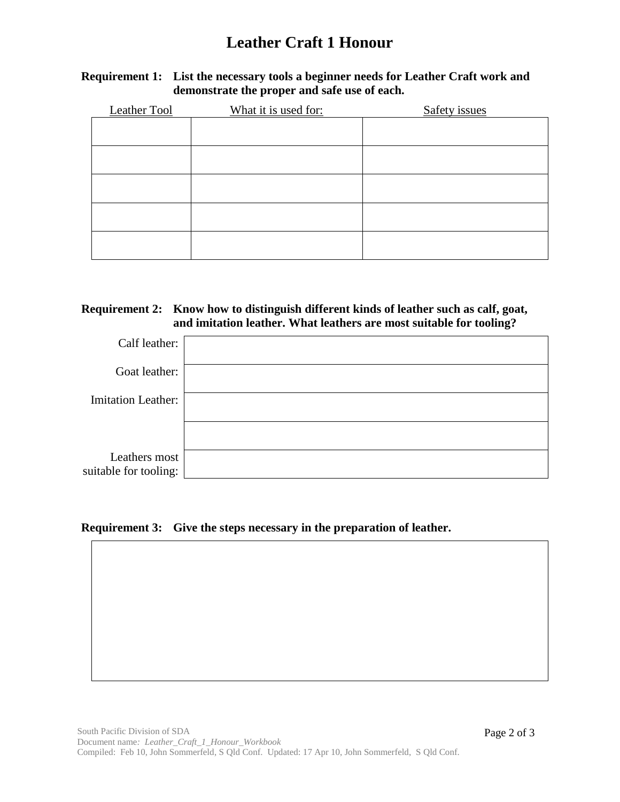## **Leather Craft 1 Honour**

#### **Requirement 1: List the necessary tools a beginner needs for Leather Craft work and demonstrate the proper and safe use of each.**

| Leather Tool | What it is used for: | Safety issues |
|--------------|----------------------|---------------|
|              |                      |               |
|              |                      |               |
|              |                      |               |
|              |                      |               |
|              |                      |               |
|              |                      |               |
|              |                      |               |
|              |                      |               |
|              |                      |               |
|              |                      |               |

#### **Requirement 2: Know how to distinguish different kinds of leather such as calf, goat, and imitation leather. What leathers are most suitable for tooling?**

| Calf leather:                          |  |
|----------------------------------------|--|
| Goat leather:                          |  |
| <b>Imitation Leather:</b>              |  |
|                                        |  |
| Leathers most<br>suitable for tooling: |  |

#### **Requirement 3: Give the steps necessary in the preparation of leather.**